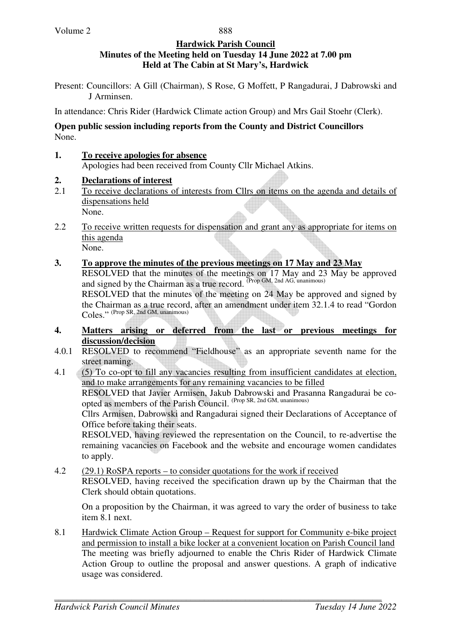#### **Hardwick Parish Council Minutes of the Meeting held on Tuesday 14 June 2022 at 7.00 pm Held at The Cabin at St Mary's, Hardwick**

Present: Councillors: A Gill (Chairman), S Rose, G Moffett, P Rangadurai, J Dabrowski and J Arminsen.

In attendance: Chris Rider (Hardwick Climate action Group) and Mrs Gail Stoehr (Clerk).

### **Open public session including reports from the County and District Councillors**  None.

**1. To receive apologies for absence** Apologies had been received from County Cllr Michael Atkins.

## **2. Declarations of interest**

- 2.1 To receive declarations of interests from Cllrs on items on the agenda and details of dispensations held None.
- 2.2 To receive written requests for dispensation and grant any as appropriate for items on this agenda None.
- **3. To approve the minutes of the previous meetings on 17 May and 23 May**

RESOLVED that the minutes of the meetings on 17 May and 23 May be approved and signed by the Chairman as a true record.  $^{(Prop\ GM, 2nd\ AG, unanimous)}$ 

RESOLVED that the minutes of the meeting on 24 May be approved and signed by the Chairman as a true record, after an amendment under item 32.1.4 to read "Gordon Coles." (Prop SR, 2nd GM, unanimous)

- **4. Matters arising or deferred from the last or previous meetings for discussion/decision**
- 4.0.1 RESOLVED to recommend "Fieldhouse" as an appropriate seventh name for the street naming.
- 4.1 (5) To co-opt to fill any vacancies resulting from insufficient candidates at election, and to make arrangements for any remaining vacancies to be filled RESOLVED that Javier Armisen, Jakub Dabrowski and Prasanna Rangadurai be coopted as members of the Parish Council. (Prop SR, 2nd GM, unanimous) Cllrs Armisen, Dabrowski and Rangadurai signed their Declarations of Acceptance of Office before taking their seats. RESOLVED, having reviewed the representation on the Council, to re-advertise the

remaining vacancies on Facebook and the website and encourage women candidates to apply.

4.2 (29.1) RoSPA reports – to consider quotations for the work if received RESOLVED, having received the specification drawn up by the Chairman that the Clerk should obtain quotations.

On a proposition by the Chairman, it was agreed to vary the order of business to take item 8.1 next.

8.1 Hardwick Climate Action Group – Request for support for Community e-bike project and permission to install a bike locker at a convenient location on Parish Council land The meeting was briefly adjourned to enable the Chris Rider of Hardwick Climate Action Group to outline the proposal and answer questions. A graph of indicative usage was considered.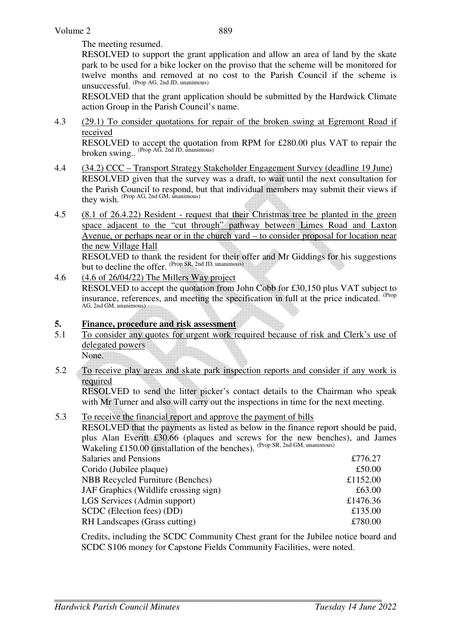The meeting resumed.

 RESOLVED to support the grant application and allow an area of land by the skate park to be used for a bike locker on the proviso that the scheme will be monitored for twelve months and removed at no cost to the Parish Council if the scheme is unsuccessful. (Prop AG, 2nd JD, unanimous)

RESOLVED that the grant application should be submitted by the Hardwick Climate action Group in the Parish Council's name.

4.3 (29.1) To consider quotations for repair of the broken swing at Egremont Road if received

RESOLVED to accept the quotation from RPM for £280.00 plus VAT to repair the broken swing.. (Prop AG, 2nd JD, unanimous)

- 4.4 (34.2) CCC Transport Strategy Stakeholder Engagement Survey (deadline 19 June) RESOLVED given that the survey was a draft, to wait until the next consultation for the Parish Council to respond, but that individual members may submit their views if they wish. (Prop AG, 2nd GM, unanimous)
- 4.5 (8.1 of 26.4.22) Resident request that their Christmas tree be planted in the green space adjacent to the "cut through" pathway between Limes Road and Laxton Avenue, or perhaps near or in the church yard – to consider proposal for location near the new Village Hall

 RESOLVED to thank the resident for their offer and Mr Giddings for his suggestions but to decline the offer. (Prop SR, 2nd JD, unanimous)

4.6 (4.6 of 26/04/22) The Millers Way project RESOLVED to accept the quotation from John Cobb for £30,150 plus VAT subject to insurance, references, and meeting the specification in full at the price indicated. <sup>(Prop</sup> AG, 2nd GM, unanimous)

## **5. Finance, procedure and risk assessment**

5.1 To consider any quotes for urgent work required because of risk and Clerk's use of delegated powers

None.

5.2 To receive play areas and skate park inspection reports and consider if any work is required

RESOLVED to send the litter picker's contact details to the Chairman who speak with Mr Turner and also will carry out the inspections in time for the next meeting.

## 5.3 To receive the financial report and approve the payment of bills

RESOLVED that the payments as listed as below in the finance report should be paid, plus Alan Everitt £30.66 (plaques and screws for the new benches), and James Wakeling £150.00 (installation of the benches). <sup>(Prop SR, 2nd GM, unanimous)</sup>

| <b>Salaries and Pensions</b>            | £776.27  |
|-----------------------------------------|----------|
| Corido (Jubilee plaque)                 | £50.00   |
| <b>NBB Recycled Furniture (Benches)</b> | £1152.00 |
| JAF Graphics (Wildlife crossing sign)   | £63.00   |
| LGS Services (Admin support)            | £1476.36 |
| SCDC (Election fees) (DD)               | £135.00  |
| RH Landscapes (Grass cutting)           | £780.00  |

Credits, including the SCDC Community Chest grant for the Jubilee notice board and SCDC S106 money for Capstone Fields Community Facilities, were noted.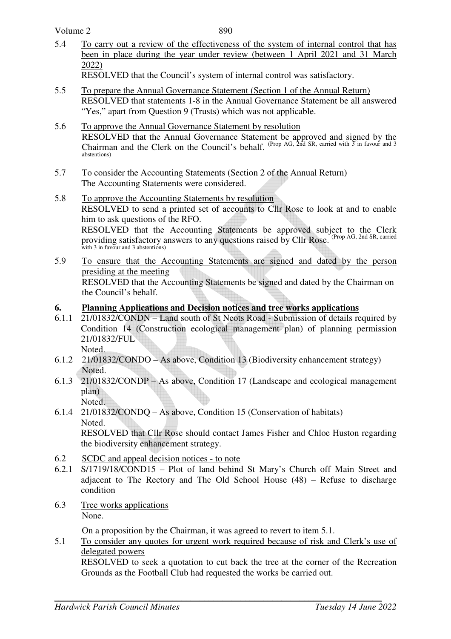Volume 2

890

5.4 To carry out a review of the effectiveness of the system of internal control that has been in place during the year under review (between 1 April 2021 and 31 March 2022)

RESOLVED that the Council's system of internal control was satisfactory.

- 5.5 To prepare the Annual Governance Statement (Section 1 of the Annual Return) RESOLVED that statements 1-8 in the Annual Governance Statement be all answered "Yes," apart from Question 9 (Trusts) which was not applicable.
- 5.6 To approve the Annual Governance Statement by resolution RESOLVED that the Annual Governance Statement be approved and signed by the Chairman and the Clerk on the Council's behalf. (Prop AG,  $\overline{2}$  and SR, carried with  $\overline{3}$  in favour and 3 abstentions)
- 5.7 To consider the Accounting Statements (Section 2 of the Annual Return) The Accounting Statements were considered.
- 5.8 To approve the Accounting Statements by resolution RESOLVED to send a printed set of accounts to Cllr Rose to look at and to enable him to ask questions of the RFO. RESOLVED that the Accounting Statements be approved subject to the Clerk providing satisfactory answers to any questions raised by Cllr Rose. (Prop AG, 2nd SR, carried with 3 in favour and 3 abstentions)
- 5.9 To ensure that the Accounting Statements are signed and dated by the person presiding at the meeting RESOLVED that the Accounting Statements be signed and dated by the Chairman on the Council's behalf.

# **6. Planning Applications and Decision notices and tree works applications**

- 6.1.1 21/01832/CONDN Land south of St Neots Road Submission of details required by Condition 14 (Construction ecological management plan) of planning permission 21/01832/FUL Noted.
- 6.1.2 21/01832/CONDO As above, Condition 13 (Biodiversity enhancement strategy) Noted.
- 6.1.3 21/01832/CONDP As above, Condition 17 (Landscape and ecological management plan) Noted.
- 6.1.4 21/01832/CONDQ As above, Condition 15 (Conservation of habitats) Noted. RESOLVED that Cllr Rose should contact James Fisher and Chloe Huston regarding the biodiversity enhancement strategy.
- 6.2 SCDC and appeal decision notices to note
- 6.2.1 S/1719/18/COND15 Plot of land behind St Mary's Church off Main Street and adjacent to The Rectory and The Old School House (48) – Refuse to discharge condition
- 6.3 Tree works applications None.

On a proposition by the Chairman, it was agreed to revert to item 5.1.

5.1 To consider any quotes for urgent work required because of risk and Clerk's use of delegated powers

 RESOLVED to seek a quotation to cut back the tree at the corner of the Recreation Grounds as the Football Club had requested the works be carried out.